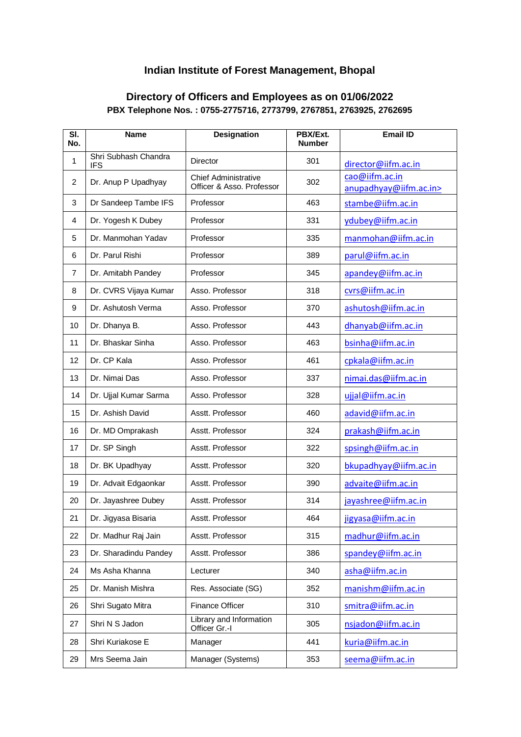## **Indian Institute of Forest Management, Bhopal**

## **Directory of Officers and Employees as on 01/06/2022 PBX Telephone Nos. : 0755-2775716, 2773799, 2767851, 2763925, 2762695**

| SI.<br>No.     | <b>Name</b>                        | Designation                                              | PBX/Ext.<br><b>Number</b> | <b>Email ID</b>                          |
|----------------|------------------------------------|----------------------------------------------------------|---------------------------|------------------------------------------|
| 1              | Shri Subhash Chandra<br><b>IFS</b> | <b>Director</b>                                          | 301                       | director@iifm.ac.in                      |
| $\overline{2}$ | Dr. Anup P Upadhyay                | <b>Chief Administrative</b><br>Officer & Asso. Professor | 302                       | cao@iifm.ac.in<br>anupadhyay@iifm.ac.in> |
| 3              | Dr Sandeep Tambe IFS               | Professor                                                | 463                       | stambe@iifm.ac.in                        |
| 4              | Dr. Yogesh K Dubey                 | Professor                                                | 331                       | ydubey@iifm.ac.in                        |
| 5              | Dr. Manmohan Yadav                 | Professor                                                | 335                       | manmohan@iifm.ac.in                      |
| 6              | Dr. Parul Rishi                    | Professor                                                | 389                       | parul@iifm.ac.in                         |
| $\overline{7}$ | Dr. Amitabh Pandey                 | Professor                                                | 345                       | apandey@iifm.ac.in                       |
| 8              | Dr. CVRS Vijaya Kumar              | Asso. Professor                                          | 318                       | cvrs@iifm.ac.in                          |
| 9              | Dr. Ashutosh Verma                 | Asso. Professor                                          | 370                       | ashutosh@iifm.ac.in                      |
| 10             | Dr. Dhanya B.                      | Asso. Professor                                          | 443                       | dhanyab@iifm.ac.in                       |
| 11             | Dr. Bhaskar Sinha                  | Asso. Professor                                          | 463                       | bsinha@iifm.ac.in                        |
| 12             | Dr. CP Kala                        | Asso. Professor                                          | 461                       | cpkala@iifm.ac.in                        |
| 13             | Dr. Nimai Das                      | Asso. Professor                                          | 337                       | nimai.das@iifm.ac.in                     |
| 14             | Dr. Ujjal Kumar Sarma              | Asso. Professor                                          | 328                       | ujjal@iifm.ac.in                         |
| 15             | Dr. Ashish David                   | Asstt. Professor                                         | 460                       | adavid@iifm.ac.in                        |
| 16             | Dr. MD Omprakash                   | Asstt. Professor                                         | 324                       | prakash@iifm.ac.in                       |
| 17             | Dr. SP Singh                       | Asstt. Professor                                         | 322                       | spsingh@iifm.ac.in                       |
| 18             | Dr. BK Upadhyay                    | Asstt. Professor                                         | 320                       | bkupadhyay@iifm.ac.in                    |
| 19             | Dr. Advait Edgaonkar               | Asstt. Professor                                         | 390                       | advaite@iifm.ac.in                       |
| 20             | Dr. Jayashree Dubey                | Asstt. Professor                                         | 314                       | jayashree@iifm.ac.in                     |
| 21             | Dr. Jigyasa Bisaria                | Asstt. Professor                                         | 464                       | jigyasa@iifm.ac.in                       |
| 22             | Dr. Madhur Raj Jain                | Asstt. Professor                                         | 315                       | madhur@iifm.ac.in                        |
| 23             | Dr. Sharadindu Pandey              | Asstt. Professor                                         | 386                       | spandey@iifm.ac.in                       |
| 24             | Ms Asha Khanna                     | Lecturer                                                 | 340                       | asha@iifm.ac.in                          |
| 25             | Dr. Manish Mishra                  | Res. Associate (SG)                                      | 352                       | manishm@iifm.ac.in                       |
| 26             | Shri Sugato Mitra                  | Finance Officer                                          | 310                       | smitra@iifm.ac.in                        |
| 27             | Shri N S Jadon                     | Library and Information<br>Officer Gr.-I                 | 305                       | nsjadon@iifm.ac.in                       |
| 28             | Shri Kuriakose E                   | Manager                                                  | 441                       | kuria@iifm.ac.in                         |
| 29             | Mrs Seema Jain                     | Manager (Systems)                                        | 353                       | seema@iifm.ac.in                         |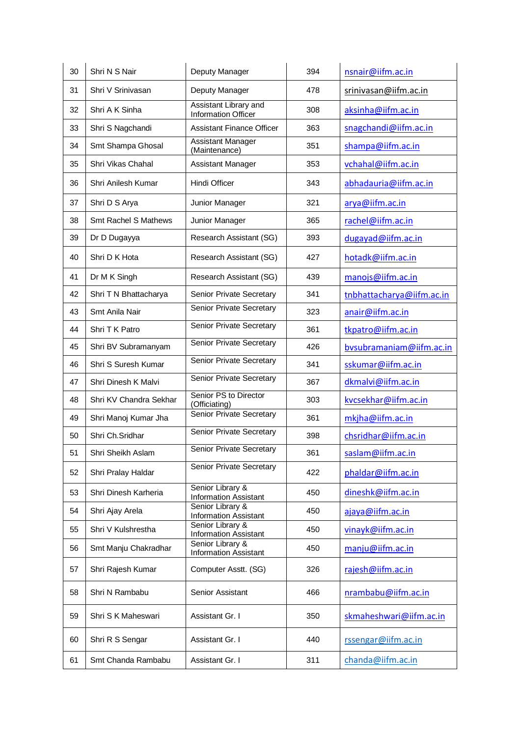| 30 | Shri N S Nair          | Deputy Manager                                      | 394 | nsnair@iifm.ac.in         |
|----|------------------------|-----------------------------------------------------|-----|---------------------------|
| 31 | Shri V Srinivasan      | Deputy Manager                                      | 478 | srinivasan@iifm.ac.in     |
| 32 | Shri A K Sinha         | Assistant Library and<br><b>Information Officer</b> | 308 | aksinha@iifm.ac.in        |
| 33 | Shri S Nagchandi       | <b>Assistant Finance Officer</b>                    | 363 | snagchandi@iifm.ac.in     |
| 34 | Smt Shampa Ghosal      | <b>Assistant Manager</b><br>(Maintenance)           | 351 | shampa@iifm.ac.in         |
| 35 | Shri Vikas Chahal      | Assistant Manager                                   | 353 | vchahal@iifm.ac.in        |
| 36 | Shri Anilesh Kumar     | Hindi Officer                                       | 343 | abhadauria@iifm.ac.in     |
| 37 | Shri D S Arya          | Junior Manager                                      | 321 | arya@iifm.ac.in           |
| 38 | Smt Rachel S Mathews   | Junior Manager                                      | 365 | rachel@iifm.ac.in         |
| 39 | Dr D Dugayya           | Research Assistant (SG)                             | 393 | dugayad@iifm.ac.in        |
| 40 | Shri D K Hota          | Research Assistant (SG)                             | 427 | hotadk@iifm.ac.in         |
| 41 | Dr M K Singh           | Research Assistant (SG)                             | 439 | manojs@iifm.ac.in         |
| 42 | Shri T N Bhattacharya  | Senior Private Secretary                            | 341 | tnbhattacharya@iifm.ac.in |
| 43 | Smt Anila Nair         | Senior Private Secretary                            | 323 | anair@iifm.ac.in          |
| 44 | Shri T K Patro         | Senior Private Secretary                            | 361 | tkpatro@iifm.ac.in        |
| 45 | Shri BV Subramanyam    | Senior Private Secretary                            | 426 | bysubramaniam@iifm.ac.in  |
| 46 | Shri S Suresh Kumar    | Senior Private Secretary                            | 341 | sskumar@iifm.ac.in        |
| 47 | Shri Dinesh K Malvi    | Senior Private Secretary                            | 367 | dkmalvi@iifm.ac.in        |
| 48 | Shri KV Chandra Sekhar | Senior PS to Director<br>(Officiating)              | 303 | kvcsekhar@iifm.ac.in      |
| 49 | Shri Manoj Kumar Jha   | Senior Private Secretary                            | 361 | mkjha@iifm.ac.in          |
| 50 | Shri Ch.Sridhar        | Senior Private Secretary                            | 398 | chsridhar@iifm.ac.in      |
| 51 | Shri Sheikh Aslam      | Senior Private Secretary                            | 361 | saslam@iifm.ac.in         |
| 52 | Shri Pralay Haldar     | Senior Private Secretary                            | 422 | phaldar@iifm.ac.in        |
| 53 | Shri Dinesh Karheria   | Senior Library &<br><b>Information Assistant</b>    | 450 | dineshk@iifm.ac.in        |
| 54 | Shri Ajay Arela        | Senior Library &<br><b>Information Assistant</b>    | 450 | ajaya@iifm.ac.in          |
| 55 | Shri V Kulshrestha     | Senior Library &<br><b>Information Assistant</b>    | 450 | vinayk@iifm.ac.in         |
| 56 | Smt Manju Chakradhar   | Senior Library &<br><b>Information Assistant</b>    | 450 | manju@iifm.ac.in          |
| 57 | Shri Rajesh Kumar      | Computer Asstt. (SG)                                | 326 | rajesh@iifm.ac.in         |
| 58 | Shri N Rambabu         | Senior Assistant                                    | 466 | nrambabu@iifm.ac.in       |
| 59 | Shri S K Maheswari     | Assistant Gr. I                                     | 350 | skmaheshwari@iifm.ac.in   |
| 60 | Shri R S Sengar        | Assistant Gr. I                                     | 440 | rssengar@iifm.ac.in       |
| 61 | Smt Chanda Rambabu     | Assistant Gr. I                                     | 311 | chanda@iifm.ac.in         |